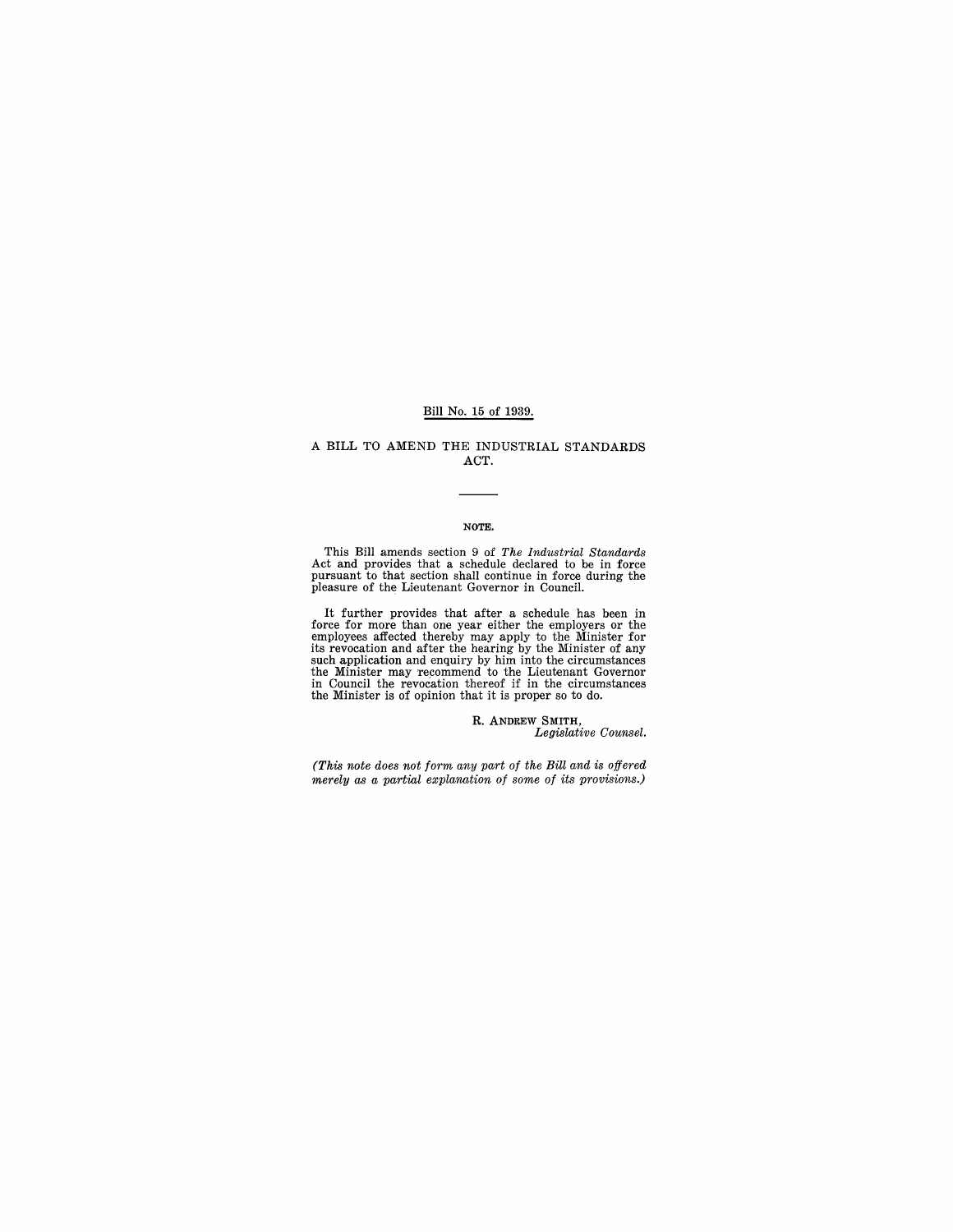### Bill No. 15 of 1939.

## A BILL TO AMEND THE INDUSTRIAL STANDARDS ACT.

#### NOTE.

This Bill amends section 9 of *The Industrial Standards* Act and provides that a schedule declared to be in force pursuant to that section shall continue in force during the pleasure of the Lieutenant Governor in Council.

It further provides that after a schedule has been in<br>force for more than one year either the employers or the<br>employees affected thereby may apply to the Minister for<br>its revocation and after the hearing by the Minister o

R. ANDREW SMITH, *Legislative Counsel.* 

*(This note does not form any part of the Bill and is offered merely as a partial explanation of some of its provisions.)*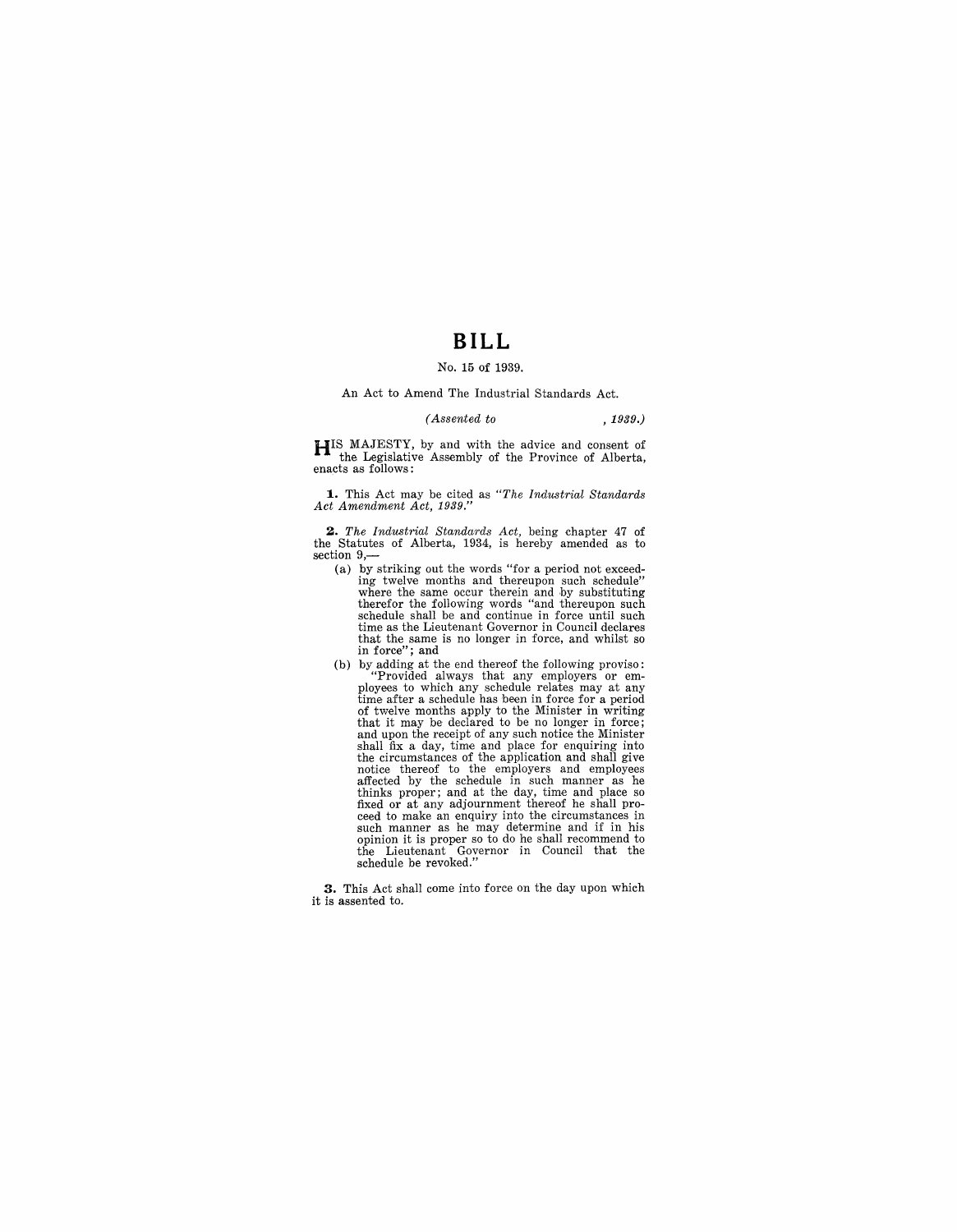# **BILL**

#### No. 15 of 1939.

An Act to Amend The Industrial Standards Act.

#### *(Assented to* , 1939.)

**HIS MAJESTY**, by and with the advice and consent of the Legislative Assembly of the Province of Alberta, enacts as follows:

**1.** This Act may be cited as *"The Industrial Standards Act Amendment Act, 1939."* 

*2. The Industrial Standards Act,* being chapter 47 of the Statutes of Alberta, 1934, is hereby amended as to section  $9, -$ 

- (a) by striking out the words "for a period not exceeding twelve months and thereupon such schedule" where the same occur therein and by substituting therefor the following words "and thereupon such schedule shall be and continue in force until such time as the Lieutenant Governor in Council declares that the same is no longer in force, and whilst so in force"; and
- (b) by adding at the end thereof the following proviso:<br>
"Provided always that any employers or employees to which any schedule relates may at any<br>
time after a schedule has been in force for a period<br>
of twelve months ap shall fix a day, time and place for enquiring into the circumstances of the application and shall give notice thereof to the employers and employees<br>affected by the schedule in such manner as he<br>thinks proper; and at the day, time and place so<br>fixed or at any adjournment thereof he shall proceed to make an enquiry into the circumstances in such manner as he may determine and if in his opinion it is proper so to do he shall recommend to the Lieutenant Governor in Council that the schedule be revoked."

**3.** This Act shall come into force on the day upon which it is assented to.